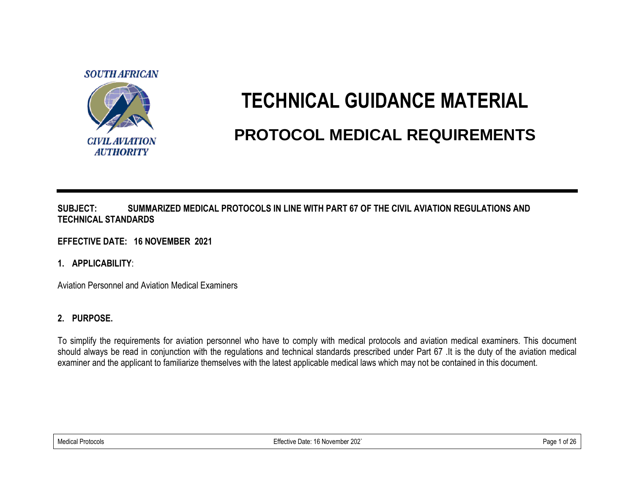

# **TECHNICAL GUIDANCE MATERIAL PROTOCOL MEDICAL REQUIREMENTS**

#### **SUBJECT: SUMMARIZED MEDICAL PROTOCOLS IN LINE WITH PART 67 OF THE CIVIL AVIATION REGULATIONS AND TECHNICAL STANDARDS**

### **EFFECTIVE DATE: 16 NOVEMBER 2021**

### **1. APPLICABILITY**:

Aviation Personnel and Aviation Medical Examiners

## **2. PURPOSE.**

To simplify the requirements for aviation personnel who have to comply with medical protocols and aviation medical examiners. This document should always be read in conjunction with the regulations and technical standards prescribed under Part 67 .It is the duty of the aviation medical examiner and the applicant to familiarize themselves with the latest applicable medical laws which may not be contained in this document.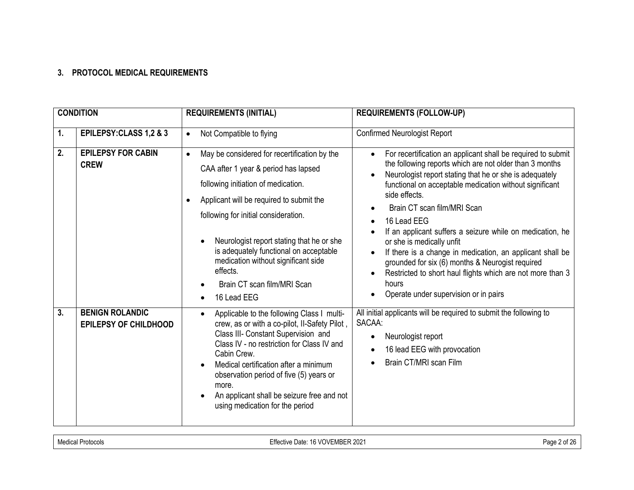#### **3. PROTOCOL MEDICAL REQUIREMENTS**

| <b>CONDITION</b> |                                                        | <b>REQUIREMENTS (INITIAL)</b>                                                                                                                                                                                                                                                                                                                                                                                                                  | <b>REQUIREMENTS (FOLLOW-UP)</b>                                                                                                                                                                                                                                                                                                                                                                                                                                                                                                                                                                                                         |
|------------------|--------------------------------------------------------|------------------------------------------------------------------------------------------------------------------------------------------------------------------------------------------------------------------------------------------------------------------------------------------------------------------------------------------------------------------------------------------------------------------------------------------------|-----------------------------------------------------------------------------------------------------------------------------------------------------------------------------------------------------------------------------------------------------------------------------------------------------------------------------------------------------------------------------------------------------------------------------------------------------------------------------------------------------------------------------------------------------------------------------------------------------------------------------------------|
| 1.               | EPILEPSY: CLASS 1,2 & 3                                | Not Compatible to flying<br>$\bullet$                                                                                                                                                                                                                                                                                                                                                                                                          | <b>Confirmed Neurologist Report</b>                                                                                                                                                                                                                                                                                                                                                                                                                                                                                                                                                                                                     |
| 2.               | <b>EPILEPSY FOR CABIN</b><br><b>CREW</b>               | May be considered for recertification by the<br>$\bullet$<br>CAA after 1 year & period has lapsed<br>following initiation of medication.<br>Applicant will be required to submit the<br>following for initial consideration.<br>Neurologist report stating that he or she<br>$\bullet$<br>is adequately functional on acceptable<br>medication without significant side<br>effects.<br>Brain CT scan film/MRI Scan<br>16 Lead EEG<br>$\bullet$ | For recertification an applicant shall be required to submit<br>the following reports which are not older than 3 months<br>Neurologist report stating that he or she is adequately<br>functional on acceptable medication without significant<br>side effects.<br>Brain CT scan film/MRI Scan<br>16 Lead EEG<br>If an applicant suffers a seizure while on medication, he<br>or she is medically unfit<br>If there is a change in medication, an applicant shall be<br>grounded for six (6) months & Neurogist required<br>Restricted to short haul flights which are not more than 3<br>hours<br>Operate under supervision or in pairs |
| 3.               | <b>BENIGN ROLANDIC</b><br><b>EPILEPSY OF CHILDHOOD</b> | Applicable to the following Class I multi-<br>$\bullet$<br>crew, as or with a co-pilot, II-Safety Pilot,<br>Class III- Constant Supervision and<br>Class IV - no restriction for Class IV and<br>Cabin Crew.<br>Medical certification after a minimum<br>observation period of five (5) years or<br>more.<br>An applicant shall be seizure free and not<br>$\bullet$<br>using medication for the period                                        | All initial applicants will be required to submit the following to<br>SACAA:<br>Neurologist report<br>16 lead EEG with provocation<br>Brain CT/MRI scan Film                                                                                                                                                                                                                                                                                                                                                                                                                                                                            |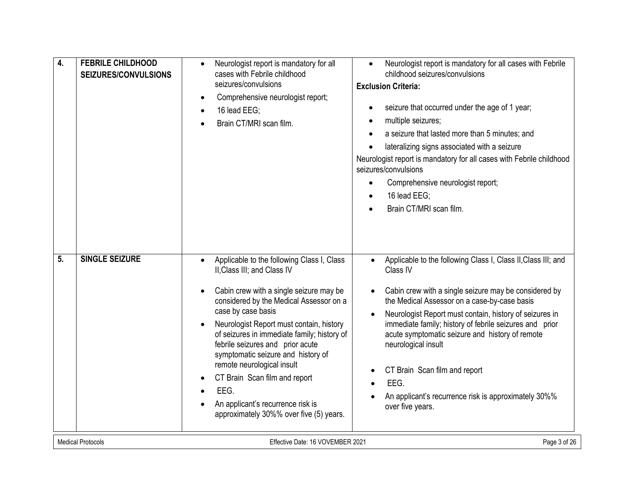| 4.                       | <b>FEBRILE CHILDHOOD</b><br>SEIZURES/CONVULSIONS | Neurologist report is mandatory for all<br>cases with Febrile childhood<br>seizures/convulsions<br>Comprehensive neurologist report;<br>$\bullet$<br>16 lead EEG;<br>$\bullet$<br>Brain CT/MRI scan film.                                                                                                                                                                                                                                                                                                                      | Neurologist report is mandatory for all cases with Febrile<br>$\bullet$<br>childhood seizures/convulsions<br><b>Exclusion Criteria:</b><br>seizure that occurred under the age of 1 year;<br>multiple seizures;<br>$\bullet$<br>a seizure that lasted more than 5 minutes; and<br>lateralizing signs associated with a seizure<br>Neurologist report is mandatory for all cases with Febrile childhood<br>seizures/convulsions<br>Comprehensive neurologist report;<br>$\bullet$<br>16 lead EEG:<br>Brain CT/MRI scan film.                                 |
|--------------------------|--------------------------------------------------|--------------------------------------------------------------------------------------------------------------------------------------------------------------------------------------------------------------------------------------------------------------------------------------------------------------------------------------------------------------------------------------------------------------------------------------------------------------------------------------------------------------------------------|-------------------------------------------------------------------------------------------------------------------------------------------------------------------------------------------------------------------------------------------------------------------------------------------------------------------------------------------------------------------------------------------------------------------------------------------------------------------------------------------------------------------------------------------------------------|
| 5.                       | <b>SINGLE SEIZURE</b>                            | Applicable to the following Class I, Class<br>II, Class III; and Class IV<br>Cabin crew with a single seizure may be<br>considered by the Medical Assessor on a<br>case by case basis<br>Neurologist Report must contain, history<br>of seizures in immediate family; history of<br>febrile seizures and prior acute<br>symptomatic seizure and history of<br>remote neurological insult<br>CT Brain Scan film and report<br>$\bullet$<br>EEG.<br>An applicant's recurrence risk is<br>approximately 30%% over five (5) years. | Applicable to the following Class I, Class II, Class III; and<br>$\bullet$<br>Class IV<br>Cabin crew with a single seizure may be considered by<br>$\bullet$<br>the Medical Assessor on a case-by-case basis<br>Neurologist Report must contain, history of seizures in<br>$\bullet$<br>immediate family; history of febrile seizures and prior<br>acute symptomatic seizure and history of remote<br>neurological insult<br>CT Brain Scan film and report<br>$\bullet$<br>EEG.<br>An applicant's recurrence risk is approximately 30%%<br>over five years. |
| <b>Medical Protocols</b> |                                                  | Effective Date: 16 VOVEMBER 2021                                                                                                                                                                                                                                                                                                                                                                                                                                                                                               | Page 3 of 26                                                                                                                                                                                                                                                                                                                                                                                                                                                                                                                                                |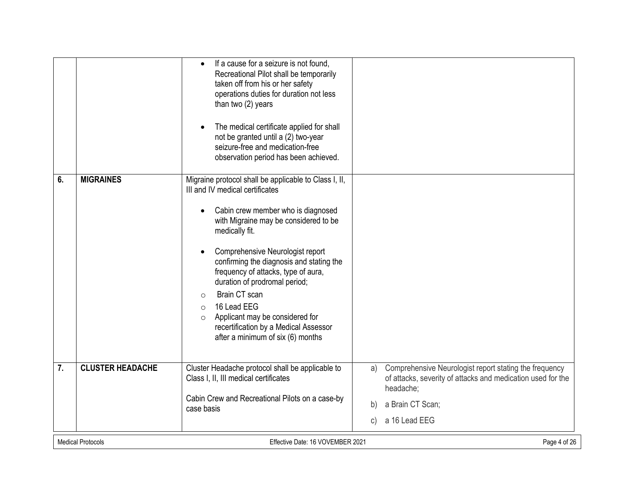|                  |                          | If a cause for a seizure is not found.<br>$\bullet$<br>Recreational Pilot shall be temporarily<br>taken off from his or her safety<br>operations duties for duration not less<br>than two (2) years |    |                                                                                                                                    |
|------------------|--------------------------|-----------------------------------------------------------------------------------------------------------------------------------------------------------------------------------------------------|----|------------------------------------------------------------------------------------------------------------------------------------|
|                  |                          | The medical certificate applied for shall<br>$\bullet$<br>not be granted until a (2) two-year<br>seizure-free and medication-free<br>observation period has been achieved.                          |    |                                                                                                                                    |
| 6.               | <b>MIGRAINES</b>         | Migraine protocol shall be applicable to Class I, II,<br>III and IV medical certificates                                                                                                            |    |                                                                                                                                    |
|                  |                          | Cabin crew member who is diagnosed<br>$\bullet$<br>with Migraine may be considered to be<br>medically fit.                                                                                          |    |                                                                                                                                    |
|                  |                          | Comprehensive Neurologist report<br>$\bullet$<br>confirming the diagnosis and stating the<br>frequency of attacks, type of aura,<br>duration of prodromal period;                                   |    |                                                                                                                                    |
|                  |                          | Brain CT scan<br>$\Omega$<br>16 Lead EEG<br>$\Omega$                                                                                                                                                |    |                                                                                                                                    |
|                  |                          | Applicant may be considered for<br>$\circ$<br>recertification by a Medical Assessor<br>after a minimum of six (6) months                                                                            |    |                                                                                                                                    |
| $\overline{7}$ . | <b>CLUSTER HEADACHE</b>  | Cluster Headache protocol shall be applicable to<br>Class I, II, III medical certificates                                                                                                           | a) | Comprehensive Neurologist report stating the frequency<br>of attacks, severity of attacks and medication used for the<br>headache; |
|                  |                          | Cabin Crew and Recreational Pilots on a case-by<br>case basis                                                                                                                                       | b) | a Brain CT Scan;                                                                                                                   |
|                  |                          |                                                                                                                                                                                                     | C) | a 16 Lead EEG                                                                                                                      |
|                  | <b>Medical Protocols</b> | Effective Date: 16 VOVEMBER 2021                                                                                                                                                                    |    | Page 4 of 26                                                                                                                       |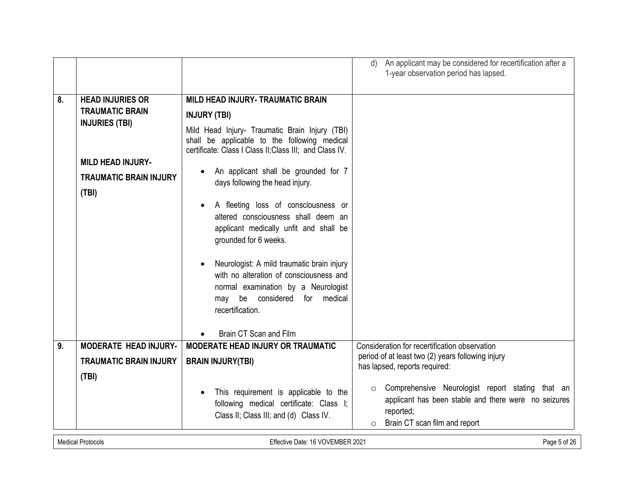|    |                                                                              |                                                                                                                                                                                      | An applicant may be considered for recertification after a<br>d)<br>1-year observation period has lapsed.                                                                    |  |
|----|------------------------------------------------------------------------------|--------------------------------------------------------------------------------------------------------------------------------------------------------------------------------------|------------------------------------------------------------------------------------------------------------------------------------------------------------------------------|--|
| 8. | <b>HEAD INJURIES OR</b>                                                      | <b>MILD HEAD INJURY- TRAUMATIC BRAIN</b>                                                                                                                                             |                                                                                                                                                                              |  |
|    | <b>TRAUMATIC BRAIN</b>                                                       | <b>INJURY (TBI)</b>                                                                                                                                                                  |                                                                                                                                                                              |  |
|    | <b>INJURIES (TBI)</b>                                                        |                                                                                                                                                                                      |                                                                                                                                                                              |  |
|    |                                                                              | Mild Head Injury- Traumatic Brain Injury (TBI)<br>shall be applicable to the following medical<br>certificate: Class I Class II; Class III; and Class IV.                            |                                                                                                                                                                              |  |
|    | <b>MILD HEAD INJURY-</b>                                                     |                                                                                                                                                                                      |                                                                                                                                                                              |  |
|    | <b>TRAUMATIC BRAIN INJURY</b>                                                | An applicant shall be grounded for 7<br>$\bullet$                                                                                                                                    |                                                                                                                                                                              |  |
|    | (TBI)                                                                        | days following the head injury.                                                                                                                                                      |                                                                                                                                                                              |  |
|    |                                                                              | A fleeting loss of consciousness or<br>$\bullet$<br>altered consciousness shall deem an<br>applicant medically unfit and shall be<br>grounded for 6 weeks.                           |                                                                                                                                                                              |  |
|    |                                                                              | Neurologist: A mild traumatic brain injury<br>with no alteration of consciousness and<br>normal examination by a Neurologist<br>may be considered<br>for medical<br>recertification. |                                                                                                                                                                              |  |
|    |                                                                              | Brain CT Scan and Film                                                                                                                                                               |                                                                                                                                                                              |  |
| 9. | <b>MODERATE HEAD INJURY-</b>                                                 | <b>MODERATE HEAD INJURY OR TRAUMATIC</b>                                                                                                                                             | Consideration for recertification observation                                                                                                                                |  |
|    | <b>TRAUMATIC BRAIN INJURY</b>                                                | <b>BRAIN INJURY(TBI)</b>                                                                                                                                                             | period of at least two (2) years following injury<br>has lapsed, reports required:                                                                                           |  |
|    | (TBI)                                                                        |                                                                                                                                                                                      |                                                                                                                                                                              |  |
|    |                                                                              | This requirement is applicable to the<br>$\bullet$<br>following medical certificate: Class I;<br>Class II; Class III; and (d) Class IV.                                              | Comprehensive Neurologist report stating that an<br>$\circ$<br>applicant has been stable and there were no seizures<br>reported;<br>Brain CT scan film and report<br>$\circ$ |  |
|    | <b>Medical Protocols</b><br>Effective Date: 16 VOVEMBER 2021<br>Page 5 of 26 |                                                                                                                                                                                      |                                                                                                                                                                              |  |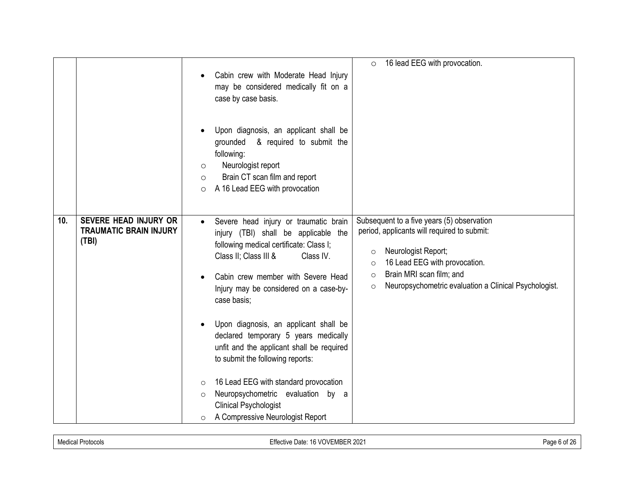|     |                                                                        | 16 lead EEG with provocation.<br>$\circ$                                                                                                                                                                                                                                                                                                                                                                                                                                                                                                                         |
|-----|------------------------------------------------------------------------|------------------------------------------------------------------------------------------------------------------------------------------------------------------------------------------------------------------------------------------------------------------------------------------------------------------------------------------------------------------------------------------------------------------------------------------------------------------------------------------------------------------------------------------------------------------|
|     |                                                                        | Cabin crew with Moderate Head Injury<br>may be considered medically fit on a<br>case by case basis.                                                                                                                                                                                                                                                                                                                                                                                                                                                              |
|     |                                                                        | Upon diagnosis, an applicant shall be<br>grounded<br>& required to submit the<br>following:<br>Neurologist report<br>O<br>Brain CT scan film and report<br>O<br>A 16 Lead EEG with provocation<br>$\circ$                                                                                                                                                                                                                                                                                                                                                        |
| 10. | <b>SEVERE HEAD INJURY OR</b><br><b>TRAUMATIC BRAIN INJURY</b><br>(TBI) | Subsequent to a five years (5) observation<br>Severe head injury or traumatic brain<br>$\bullet$<br>period, applicants will required to submit:<br>injury (TBI) shall be applicable the<br>following medical certificate: Class I;<br>Neurologist Report;<br>$\circ$<br>Class II; Class III &<br>Class IV.<br>16 Lead EEG with provocation.<br>$\circ$<br>Brain MRI scan film; and<br>$\circ$<br>Cabin crew member with Severe Head<br>Neuropsychometric evaluation a Clinical Psychologist.<br>$\circ$<br>Injury may be considered on a case-by-<br>case basis; |
|     |                                                                        | Upon diagnosis, an applicant shall be<br>declared temporary 5 years medically<br>unfit and the applicant shall be required<br>to submit the following reports:                                                                                                                                                                                                                                                                                                                                                                                                   |
|     |                                                                        | 16 Lead EEG with standard provocation<br>$\circ$<br>Neuropsychometric evaluation by a<br>$\circ$<br><b>Clinical Psychologist</b><br>A Compressive Neurologist Report<br>$\circ$                                                                                                                                                                                                                                                                                                                                                                                  |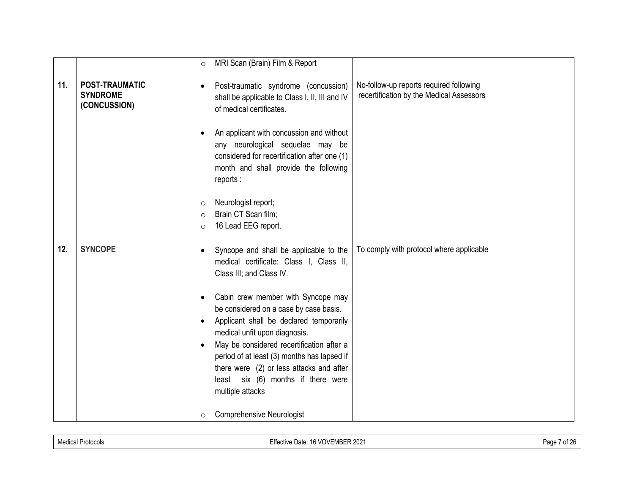|     |                                                          | MRI Scan (Brain) Film & Report<br>$\Omega$                                                                                                                                                                                                                                                                                                                                                                                                                                                                                                                                                                    |
|-----|----------------------------------------------------------|---------------------------------------------------------------------------------------------------------------------------------------------------------------------------------------------------------------------------------------------------------------------------------------------------------------------------------------------------------------------------------------------------------------------------------------------------------------------------------------------------------------------------------------------------------------------------------------------------------------|
| 11. | <b>POST-TRAUMATIC</b><br><b>SYNDROME</b><br>(CONCUSSION) | No-follow-up reports required following<br>Post-traumatic syndrome (concussion)<br>$\bullet$<br>recertification by the Medical Assessors<br>shall be applicable to Class I, II, III and IV<br>of medical certificates.<br>An applicant with concussion and without<br>any neurological sequelae may be<br>considered for recertification after one (1)<br>month and shall provide the following<br>reports:<br>Neurologist report;<br>$\circ$<br>Brain CT Scan film;<br>$\circ$                                                                                                                               |
|     |                                                          | 16 Lead EEG report.<br>$\Omega$                                                                                                                                                                                                                                                                                                                                                                                                                                                                                                                                                                               |
| 12. | <b>SYNCOPE</b>                                           | To comply with protocol where applicable<br>Syncope and shall be applicable to the<br>$\bullet$<br>medical certificate: Class I, Class II,<br>Class III; and Class IV.<br>Cabin crew member with Syncope may<br>$\bullet$<br>be considered on a case by case basis.<br>Applicant shall be declared temporarily<br>$\bullet$<br>medical unfit upon diagnosis.<br>May be considered recertification after a<br>period of at least (3) months has lapsed if<br>there were (2) or less attacks and after<br>least six (6) months if there were<br>multiple attacks<br><b>Comprehensive Neurologist</b><br>$\circ$ |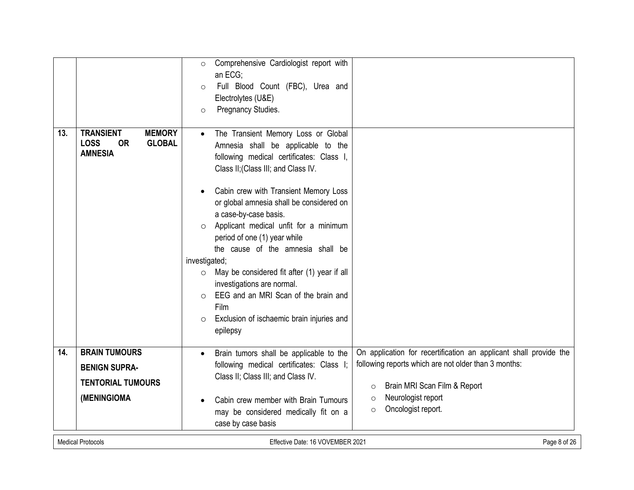| 13. | <b>MEMORY</b><br><b>TRANSIENT</b><br><b>LOSS</b><br><b>OR</b><br><b>GLOBAL</b> | Comprehensive Cardiologist report with<br>$\circ$<br>an ECG;<br>Full Blood Count (FBC), Urea and<br>$\circ$<br>Electrolytes (U&E)<br>Pregnancy Studies.<br>$\circ$<br>The Transient Memory Loss or Global<br>$\bullet$                                                                                                                                       |                                                                   |
|-----|--------------------------------------------------------------------------------|--------------------------------------------------------------------------------------------------------------------------------------------------------------------------------------------------------------------------------------------------------------------------------------------------------------------------------------------------------------|-------------------------------------------------------------------|
|     | <b>AMNESIA</b>                                                                 | Amnesia shall be applicable to the<br>following medical certificates: Class I,<br>Class II; (Class III; and Class IV.<br>Cabin crew with Transient Memory Loss<br>or global amnesia shall be considered on<br>a case-by-case basis.<br>Applicant medical unfit for a minimum<br>$\circ$<br>period of one (1) year while<br>the cause of the amnesia shall be |                                                                   |
|     |                                                                                | investigated;                                                                                                                                                                                                                                                                                                                                                |                                                                   |
|     |                                                                                | May be considered fit after (1) year if all<br>$\circ$<br>investigations are normal.                                                                                                                                                                                                                                                                         |                                                                   |
|     |                                                                                | EEG and an MRI Scan of the brain and<br>$\circ$                                                                                                                                                                                                                                                                                                              |                                                                   |
|     |                                                                                | Film<br>Exclusion of ischaemic brain injuries and<br>$\circ$                                                                                                                                                                                                                                                                                                 |                                                                   |
|     |                                                                                | epilepsy                                                                                                                                                                                                                                                                                                                                                     |                                                                   |
| 14. | <b>BRAIN TUMOURS</b>                                                           | Brain tumors shall be applicable to the<br>$\bullet$                                                                                                                                                                                                                                                                                                         | On application for recertification an applicant shall provide the |
|     | <b>BENIGN SUPRA-</b>                                                           | following medical certificates: Class I;<br>Class II; Class III; and Class IV.                                                                                                                                                                                                                                                                               | following reports which are not older than 3 months:              |
|     | <b>TENTORIAL TUMOURS</b>                                                       |                                                                                                                                                                                                                                                                                                                                                              | Brain MRI Scan Film & Report<br>$\circ$                           |
|     | (MENINGIOMA                                                                    | Cabin crew member with Brain Tumours<br>may be considered medically fit on a<br>case by case basis                                                                                                                                                                                                                                                           | Neurologist report<br>$\circ$<br>Oncologist report.<br>$\circ$    |
|     | <b>Medical Protocols</b>                                                       | Effective Date: 16 VOVEMBER 2021                                                                                                                                                                                                                                                                                                                             | Page 8 of 26                                                      |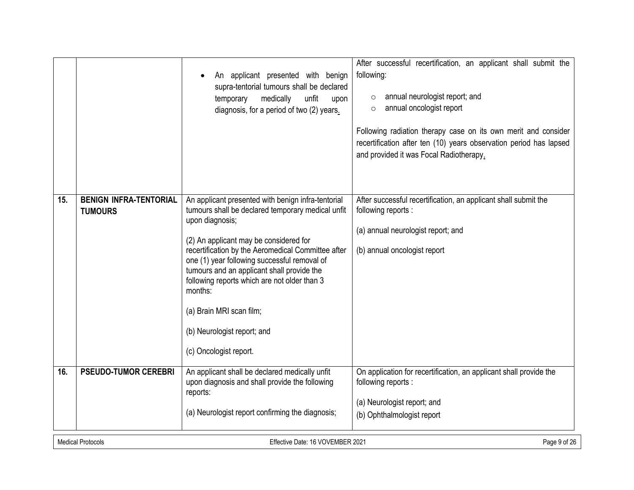|     |                                                                              | An applicant presented with benign<br>supra-tentorial tumours shall be declared<br>temporary<br>medically<br>unfit<br>upon<br>diagnosis, for a period of two (2) years.                                                                                                                                                                                                                                                                                                  | After successful recertification, an applicant shall submit the<br>following:<br>annual neurologist report; and<br>$\circ$<br>annual oncologist report<br>$\circ$<br>Following radiation therapy case on its own merit and consider<br>recertification after ten (10) years observation period has lapsed<br>and provided it was Focal Radiotherapy. |  |
|-----|------------------------------------------------------------------------------|--------------------------------------------------------------------------------------------------------------------------------------------------------------------------------------------------------------------------------------------------------------------------------------------------------------------------------------------------------------------------------------------------------------------------------------------------------------------------|------------------------------------------------------------------------------------------------------------------------------------------------------------------------------------------------------------------------------------------------------------------------------------------------------------------------------------------------------|--|
| 15. | <b>BENIGN INFRA-TENTORIAL</b><br><b>TUMOURS</b>                              | An applicant presented with benign infra-tentorial<br>tumours shall be declared temporary medical unfit<br>upon diagnosis;<br>(2) An applicant may be considered for<br>recertification by the Aeromedical Committee after<br>one (1) year following successful removal of<br>tumours and an applicant shall provide the<br>following reports which are not older than 3<br>months:<br>(a) Brain MRI scan film;<br>(b) Neurologist report; and<br>(c) Oncologist report. | After successful recertification, an applicant shall submit the<br>following reports :<br>(a) annual neurologist report; and<br>(b) annual oncologist report                                                                                                                                                                                         |  |
| 16. | <b>PSEUDO-TUMOR CEREBRI</b>                                                  | An applicant shall be declared medically unfit<br>upon diagnosis and shall provide the following<br>reports:<br>(a) Neurologist report confirming the diagnosis;                                                                                                                                                                                                                                                                                                         | On application for recertification, an applicant shall provide the<br>following reports :<br>(a) Neurologist report; and<br>(b) Ophthalmologist report                                                                                                                                                                                               |  |
|     | <b>Medical Protocols</b><br>Page 9 of 26<br>Effective Date: 16 VOVEMBER 2021 |                                                                                                                                                                                                                                                                                                                                                                                                                                                                          |                                                                                                                                                                                                                                                                                                                                                      |  |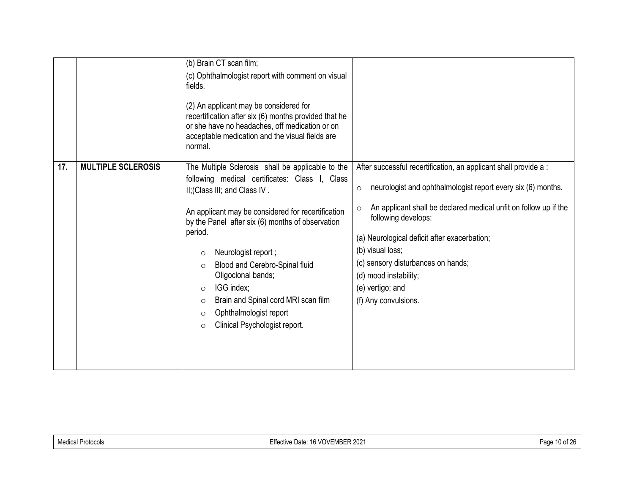|     |                           | (b) Brain CT scan film;<br>(c) Ophthalmologist report with comment on visual<br>fields.<br>(2) An applicant may be considered for<br>recertification after six (6) months provided that he<br>or she have no headaches, off medication or on<br>acceptable medication and the visual fields are<br>normal.                                                                                                                                                                                                                 |                                                                                                                                                                                                                                                                                                                                                                                                                       |
|-----|---------------------------|----------------------------------------------------------------------------------------------------------------------------------------------------------------------------------------------------------------------------------------------------------------------------------------------------------------------------------------------------------------------------------------------------------------------------------------------------------------------------------------------------------------------------|-----------------------------------------------------------------------------------------------------------------------------------------------------------------------------------------------------------------------------------------------------------------------------------------------------------------------------------------------------------------------------------------------------------------------|
| 17. | <b>MULTIPLE SCLEROSIS</b> | The Multiple Sclerosis shall be applicable to the<br>following medical certificates: Class I, Class<br>II; (Class III; and Class IV.<br>An applicant may be considered for recertification<br>by the Panel after six (6) months of observation<br>period.<br>Neurologist report;<br>$\circ$<br>Blood and Cerebro-Spinal fluid<br>$\circ$<br>Oligoclonal bands;<br>IGG index;<br>$\circ$<br>Brain and Spinal cord MRI scan film<br>$\circ$<br>Ophthalmologist report<br>$\circ$<br>Clinical Psychologist report.<br>$\circ$ | After successful recertification, an applicant shall provide a :<br>neurologist and ophthalmologist report every six (6) months.<br>$\circ$<br>An applicant shall be declared medical unfit on follow up if the<br>following develops:<br>(a) Neurological deficit after exacerbation;<br>(b) visual loss;<br>(c) sensory disturbances on hands;<br>(d) mood instability;<br>(e) vertigo; and<br>(f) Any convulsions. |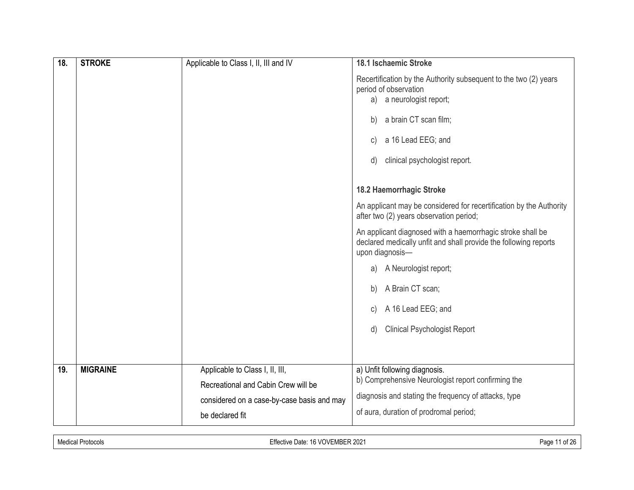| 18. | <b>STROKE</b>   | Applicable to Class I, II, III and IV                                  | 18.1 Ischaemic Stroke                                                                                                                             |
|-----|-----------------|------------------------------------------------------------------------|---------------------------------------------------------------------------------------------------------------------------------------------------|
|     |                 |                                                                        | Recertification by the Authority subsequent to the two (2) years<br>period of observation<br>a neurologist report;<br>a)                          |
|     |                 |                                                                        | a brain CT scan film;<br>b)                                                                                                                       |
|     |                 |                                                                        | a 16 Lead EEG; and<br>C)                                                                                                                          |
|     |                 |                                                                        | clinical psychologist report.<br>d)                                                                                                               |
|     |                 |                                                                        | 18.2 Haemorrhagic Stroke                                                                                                                          |
|     |                 |                                                                        | An applicant may be considered for recertification by the Authority<br>after two (2) years observation period;                                    |
|     |                 |                                                                        | An applicant diagnosed with a haemorrhagic stroke shall be<br>declared medically unfit and shall provide the following reports<br>upon diagnosis- |
|     |                 |                                                                        | A Neurologist report;<br>a)                                                                                                                       |
|     |                 |                                                                        | A Brain CT scan;<br>b)                                                                                                                            |
|     |                 |                                                                        | A 16 Lead EEG; and<br>C)                                                                                                                          |
|     |                 |                                                                        | <b>Clinical Psychologist Report</b><br>d)                                                                                                         |
|     |                 |                                                                        |                                                                                                                                                   |
| 19. | <b>MIGRAINE</b> | Applicable to Class I, II, III,<br>Recreational and Cabin Crew will be | a) Unfit following diagnosis.<br>b) Comprehensive Neurologist report confirming the                                                               |
|     |                 | considered on a case-by-case basis and may<br>be declared fit          | diagnosis and stating the frequency of attacks, type<br>of aura, duration of prodromal period;                                                    |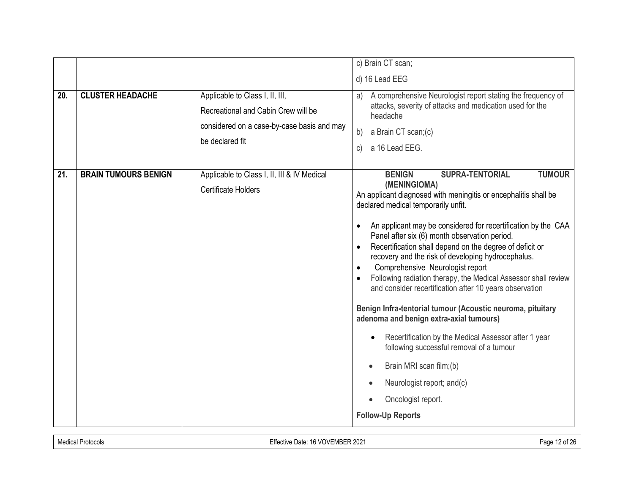|     |                             |                                                                                                                                         | c) Brain CT scan;                                                                                                                                                                                                                                                                                                                                                                                                                                                                                                                                                                                                                                                                                                                                                                                                                                                                                                                                                   |
|-----|-----------------------------|-----------------------------------------------------------------------------------------------------------------------------------------|---------------------------------------------------------------------------------------------------------------------------------------------------------------------------------------------------------------------------------------------------------------------------------------------------------------------------------------------------------------------------------------------------------------------------------------------------------------------------------------------------------------------------------------------------------------------------------------------------------------------------------------------------------------------------------------------------------------------------------------------------------------------------------------------------------------------------------------------------------------------------------------------------------------------------------------------------------------------|
|     |                             |                                                                                                                                         | d) 16 Lead EEG                                                                                                                                                                                                                                                                                                                                                                                                                                                                                                                                                                                                                                                                                                                                                                                                                                                                                                                                                      |
| 20. | <b>CLUSTER HEADACHE</b>     | Applicable to Class I, II, III,<br>Recreational and Cabin Crew will be<br>considered on a case-by-case basis and may<br>be declared fit | A comprehensive Neurologist report stating the frequency of<br>a)<br>attacks, severity of attacks and medication used for the<br>headache<br>a Brain CT scan;(c)<br>b)<br>a 16 Lead EEG.<br>$\mathsf{C}$                                                                                                                                                                                                                                                                                                                                                                                                                                                                                                                                                                                                                                                                                                                                                            |
| 21. | <b>BRAIN TUMOURS BENIGN</b> | Applicable to Class I, II, III & IV Medical<br><b>Certificate Holders</b>                                                               | <b>TUMOUR</b><br><b>BENIGN</b><br><b>SUPRA-TENTORIAL</b><br>(MENINGIOMA)<br>An applicant diagnosed with meningitis or encephalitis shall be<br>declared medical temporarily unfit.<br>An applicant may be considered for recertification by the CAA<br>$\bullet$<br>Panel after six (6) month observation period.<br>Recertification shall depend on the degree of deficit or<br>$\bullet$<br>recovery and the risk of developing hydrocephalus.<br>Comprehensive Neurologist report<br>Following radiation therapy, the Medical Assessor shall review<br>and consider recertification after 10 years observation<br>Benign Infra-tentorial tumour (Acoustic neuroma, pituitary<br>adenoma and benign extra-axial tumours)<br>Recertification by the Medical Assessor after 1 year<br>following successful removal of a tumour<br>Brain MRI scan film;(b)<br>$\bullet$<br>Neurologist report; and(c)<br>$\bullet$<br>Oncologist report.<br><b>Follow-Up Reports</b> |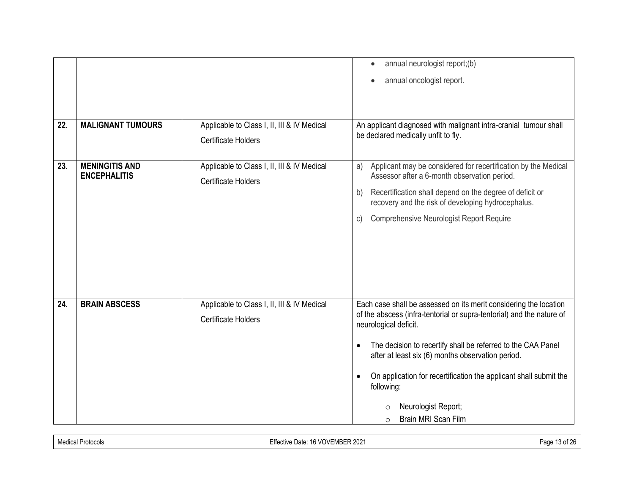|     |                          |                                             | annual neurologist report;(b)                                                                                                              |
|-----|--------------------------|---------------------------------------------|--------------------------------------------------------------------------------------------------------------------------------------------|
|     |                          |                                             | annual oncologist report.                                                                                                                  |
|     |                          |                                             |                                                                                                                                            |
| 22. | <b>MALIGNANT TUMOURS</b> | Applicable to Class I, II, III & IV Medical | An applicant diagnosed with malignant intra-cranial tumour shall                                                                           |
|     |                          | <b>Certificate Holders</b>                  | be declared medically unfit to fly.                                                                                                        |
|     |                          |                                             |                                                                                                                                            |
| 23. | <b>MENINGITIS AND</b>    | Applicable to Class I, II, III & IV Medical | Applicant may be considered for recertification by the Medical<br>a)                                                                       |
|     | <b>ENCEPHALITIS</b>      | <b>Certificate Holders</b>                  | Assessor after a 6-month observation period.                                                                                               |
|     |                          |                                             | Recertification shall depend on the degree of deficit or<br>b)<br>recovery and the risk of developing hydrocephalus.                       |
|     |                          |                                             | Comprehensive Neurologist Report Require<br>$\mathsf{C}$                                                                                   |
|     |                          |                                             |                                                                                                                                            |
|     |                          |                                             |                                                                                                                                            |
|     |                          |                                             |                                                                                                                                            |
|     |                          |                                             |                                                                                                                                            |
|     |                          |                                             |                                                                                                                                            |
| 24. | <b>BRAIN ABSCESS</b>     | Applicable to Class I, II, III & IV Medical | Each case shall be assessed on its merit considering the location<br>of the abscess (infra-tentorial or supra-tentorial) and the nature of |
|     |                          | <b>Certificate Holders</b>                  | neurological deficit.                                                                                                                      |
|     |                          |                                             | The decision to recertify shall be referred to the CAA Panel<br>$\bullet$                                                                  |
|     |                          |                                             | after at least six (6) months observation period.                                                                                          |
|     |                          |                                             | On application for recertification the applicant shall submit the                                                                          |
|     |                          |                                             | following:                                                                                                                                 |
|     |                          |                                             | Neurologist Report;                                                                                                                        |
|     |                          |                                             | Brain MRI Scan Film<br>$\circ$                                                                                                             |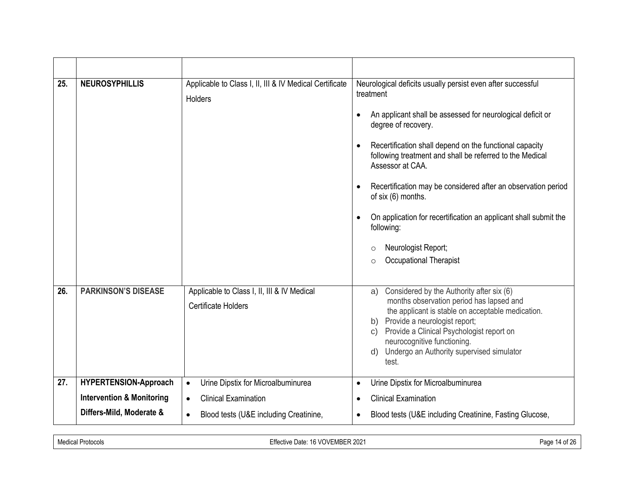| 25. | <b>NEUROSYPHILLIS</b>                | Applicable to Class I, II, III & IV Medical Certificate<br><b>Holders</b> | Neurological deficits usually persist even after successful<br>treatment<br>An applicant shall be assessed for neurological deficit or<br>$\bullet$<br>degree of recovery.<br>Recertification shall depend on the functional capacity<br>$\bullet$<br>following treatment and shall be referred to the Medical<br>Assessor at CAA.<br>Recertification may be considered after an observation period<br>$\bullet$<br>of six (6) months.<br>On application for recertification an applicant shall submit the<br>$\bullet$<br>following:<br>Neurologist Report;<br>O<br>Occupational Therapist<br>$\Omega$ |
|-----|--------------------------------------|---------------------------------------------------------------------------|---------------------------------------------------------------------------------------------------------------------------------------------------------------------------------------------------------------------------------------------------------------------------------------------------------------------------------------------------------------------------------------------------------------------------------------------------------------------------------------------------------------------------------------------------------------------------------------------------------|
| 26. | <b>PARKINSON'S DISEASE</b>           | Applicable to Class I, II, III & IV Medical<br><b>Certificate Holders</b> | Considered by the Authority after six (6)<br>a)<br>months observation period has lapsed and<br>the applicant is stable on acceptable medication.<br>Provide a neurologist report;<br>b)<br>Provide a Clinical Psychologist report on<br>$\mathsf{C}$ )<br>neurocognitive functioning.<br>Undergo an Authority supervised simulator<br>$\mathsf{d}$<br>test.                                                                                                                                                                                                                                             |
| 27. | HYPERTENSION-Approach                | Urine Dipstix for Microalbuminurea<br>$\bullet$                           | Urine Dipstix for Microalbuminurea<br>$\bullet$                                                                                                                                                                                                                                                                                                                                                                                                                                                                                                                                                         |
|     | <b>Intervention &amp; Monitoring</b> | <b>Clinical Examination</b><br>$\bullet$                                  | <b>Clinical Examination</b><br>$\bullet$                                                                                                                                                                                                                                                                                                                                                                                                                                                                                                                                                                |
|     | Differs-Mild, Moderate &             | Blood tests (U&E including Creatinine,<br>$\bullet$                       | Blood tests (U&E including Creatinine, Fasting Glucose,<br>$\bullet$                                                                                                                                                                                                                                                                                                                                                                                                                                                                                                                                    |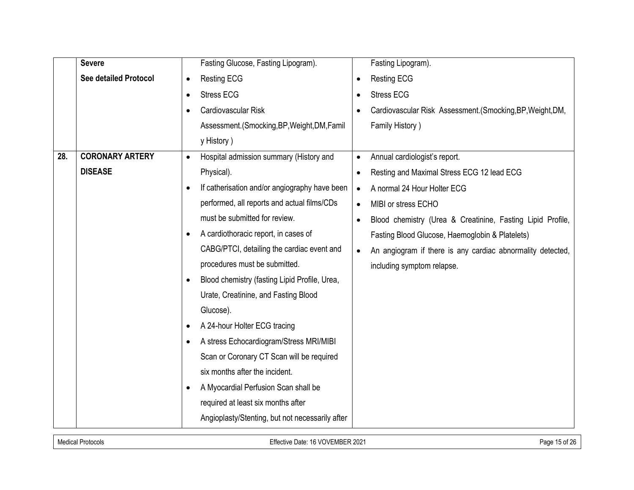|     | <b>Severe</b>                | Fasting Glucose, Fasting Lipogram).                        | Fasting Lipogram).                                                      |
|-----|------------------------------|------------------------------------------------------------|-------------------------------------------------------------------------|
|     | <b>See detailed Protocol</b> | Resting ECG<br>$\bullet$                                   | <b>Resting ECG</b>                                                      |
|     |                              | <b>Stress ECG</b><br>$\bullet$                             | <b>Stress ECG</b>                                                       |
|     |                              | Cardiovascular Risk                                        | Cardiovascular Risk Assessment. (Smocking, BP, Weight, DM,              |
|     |                              | Assessment.(Smocking, BP, Weight, DM, Famil                | Family History)                                                         |
|     |                              | y History)                                                 |                                                                         |
| 28. | <b>CORONARY ARTERY</b>       | Hospital admission summary (History and<br>$\bullet$       | Annual cardiologist's report.                                           |
|     | <b>DISEASE</b>               | Physical).                                                 | Resting and Maximal Stress ECG 12 lead ECG                              |
|     |                              | If catherisation and/or angiography have been<br>$\bullet$ | A normal 24 Hour Holter ECG<br>$\bullet$                                |
|     |                              | performed, all reports and actual films/CDs                | MIBI or stress ECHO                                                     |
|     |                              | must be submitted for review.                              | Blood chemistry (Urea & Creatinine, Fasting Lipid Profile,<br>$\bullet$ |
|     |                              | A cardiothoracic report, in cases of                       | Fasting Blood Glucose, Haemoglobin & Platelets)                         |
|     |                              | CABG/PTCI, detailing the cardiac event and                 | An angiogram if there is any cardiac abnormality detected,<br>$\bullet$ |
|     |                              | procedures must be submitted.                              | including symptom relapse.                                              |
|     |                              | Blood chemistry (fasting Lipid Profile, Urea,              |                                                                         |
|     |                              | Urate, Creatinine, and Fasting Blood                       |                                                                         |
|     |                              | Glucose).                                                  |                                                                         |
|     |                              | A 24-hour Holter ECG tracing<br>٠                          |                                                                         |
|     |                              | A stress Echocardiogram/Stress MRI/MIBI                    |                                                                         |
|     |                              | Scan or Coronary CT Scan will be required                  |                                                                         |
|     |                              | six months after the incident.                             |                                                                         |
|     |                              | A Myocardial Perfusion Scan shall be<br>$\bullet$          |                                                                         |
|     |                              | required at least six months after                         |                                                                         |
|     |                              | Angioplasty/Stenting, but not necessarily after            |                                                                         |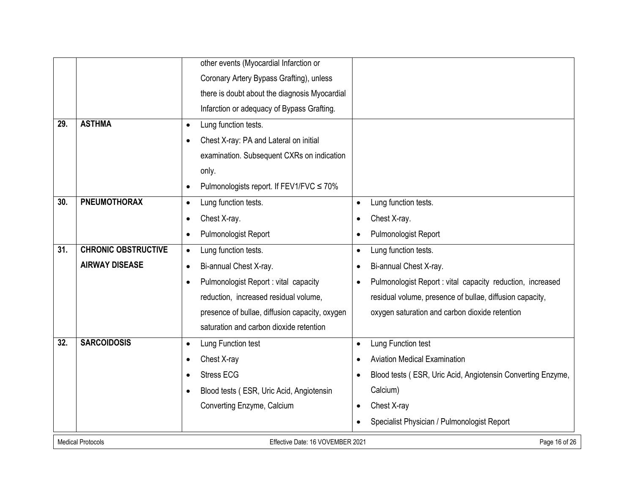|     |                            | other events (Myocardial Infarction or             |                                                                          |
|-----|----------------------------|----------------------------------------------------|--------------------------------------------------------------------------|
|     |                            | Coronary Artery Bypass Grafting), unless           |                                                                          |
|     |                            | there is doubt about the diagnosis Myocardial      |                                                                          |
|     |                            | Infarction or adequacy of Bypass Grafting.         |                                                                          |
| 29. | <b>ASTHMA</b>              | Lung function tests.<br>$\bullet$                  |                                                                          |
|     |                            | Chest X-ray: PA and Lateral on initial             |                                                                          |
|     |                            | examination. Subsequent CXRs on indication         |                                                                          |
|     |                            | only.                                              |                                                                          |
|     |                            | Pulmonologists report. If FEV1/FVC ≤ 70%           |                                                                          |
| 30. | <b>PNEUMOTHORAX</b>        | Lung function tests.<br>$\bullet$                  | Lung function tests.<br>$\bullet$                                        |
|     |                            | Chest X-ray.<br>$\bullet$                          | Chest X-ray.<br>$\bullet$                                                |
|     |                            | Pulmonologist Report<br>$\bullet$                  | Pulmonologist Report<br>$\bullet$                                        |
| 31. | <b>CHRONIC OBSTRUCTIVE</b> | Lung function tests.<br>$\bullet$                  | Lung function tests.<br>$\bullet$                                        |
|     | <b>AIRWAY DISEASE</b>      | Bi-annual Chest X-ray.<br>$\bullet$                | Bi-annual Chest X-ray.<br>$\bullet$                                      |
|     |                            | Pulmonologist Report : vital capacity<br>$\bullet$ | Pulmonologist Report : vital capacity reduction, increased<br>$\bullet$  |
|     |                            | reduction, increased residual volume,              | residual volume, presence of bullae, diffusion capacity,                 |
|     |                            | presence of bullae, diffusion capacity, oxygen     | oxygen saturation and carbon dioxide retention                           |
|     |                            | saturation and carbon dioxide retention            |                                                                          |
| 32. | <b>SARCOIDOSIS</b>         | Lung Function test<br>$\bullet$                    | Lung Function test<br>$\bullet$                                          |
|     |                            | Chest X-ray<br>$\bullet$                           | <b>Aviation Medical Examination</b><br>$\bullet$                         |
|     |                            | <b>Stress ECG</b>                                  | Blood tests (ESR, Uric Acid, Angiotensin Converting Enzyme,<br>$\bullet$ |
|     |                            | Blood tests (ESR, Uric Acid, Angiotensin           | Calcium)                                                                 |
|     |                            | Converting Enzyme, Calcium                         | Chest X-ray<br>$\bullet$                                                 |
|     |                            |                                                    | Specialist Physician / Pulmonologist Report                              |
|     | <b>Medical Protocols</b>   | Effective Date: 16 VOVEMBER 2021                   | Page 16 of 26                                                            |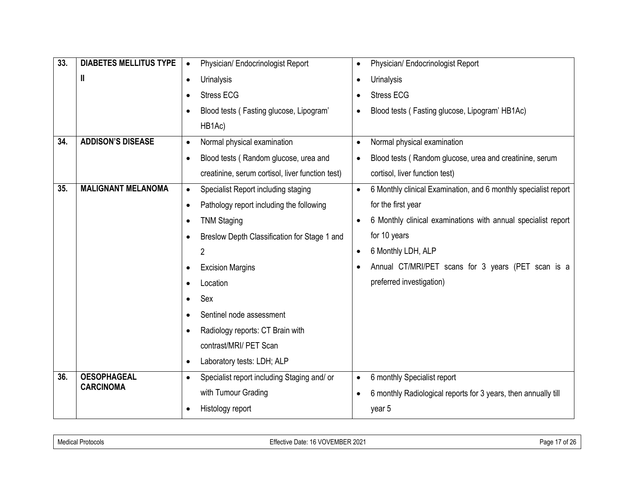| 33. | <b>DIABETES MELLITUS TYPE</b> | Physician/ Endocrinologist Report<br>$\bullet$            | Physician/ Endocrinologist Report<br>$\bullet$                               |
|-----|-------------------------------|-----------------------------------------------------------|------------------------------------------------------------------------------|
|     | Ш                             | <b>Urinalysis</b><br>$\bullet$                            | Urinalysis<br>$\bullet$                                                      |
|     |                               | <b>Stress ECG</b><br>$\bullet$                            | <b>Stress ECG</b>                                                            |
|     |                               | Blood tests (Fasting glucose, Lipogram'<br>$\bullet$      | Blood tests (Fasting glucose, Lipogram' HB1Ac)<br>$\bullet$                  |
|     |                               | HB1Ac)                                                    |                                                                              |
| 34. | <b>ADDISON'S DISEASE</b>      | Normal physical examination<br>$\bullet$                  | Normal physical examination<br>$\bullet$                                     |
|     |                               | Blood tests (Random glucose, urea and<br>$\bullet$        | Blood tests (Random glucose, urea and creatinine, serum                      |
|     |                               | creatinine, serum cortisol, liver function test)          | cortisol, liver function test)                                               |
| 35. | <b>MALIGNANT MELANOMA</b>     | Specialist Report including staging<br>$\bullet$          | 6 Monthly clinical Examination, and 6 monthly specialist report<br>$\bullet$ |
|     |                               | Pathology report including the following<br>$\bullet$     | for the first year                                                           |
|     |                               | <b>TNM Staging</b><br>$\bullet$                           | 6 Monthly clinical examinations with annual specialist report                |
|     |                               | Breslow Depth Classification for Stage 1 and<br>$\bullet$ | for 10 years                                                                 |
|     |                               | 2                                                         | 6 Monthly LDH, ALP<br>$\bullet$                                              |
|     |                               | <b>Excision Margins</b><br>$\bullet$                      | Annual CT/MRI/PET scans for 3 years (PET scan is a                           |
|     |                               | Location<br>$\bullet$                                     | preferred investigation)                                                     |
|     |                               | Sex<br>$\bullet$                                          |                                                                              |
|     |                               | Sentinel node assessment<br>$\bullet$                     |                                                                              |
|     |                               | Radiology reports: CT Brain with<br>$\bullet$             |                                                                              |
|     |                               | contrast/MRI/ PET Scan                                    |                                                                              |
|     |                               | Laboratory tests: LDH; ALP<br>$\bullet$                   |                                                                              |
| 36. | <b>OESOPHAGEAL</b>            | Specialist report including Staging and/ or<br>$\bullet$  | 6 monthly Specialist report<br>$\bullet$                                     |
|     | <b>CARCINOMA</b>              | with Tumour Grading                                       | 6 monthly Radiological reports for 3 years, then annually till               |
|     |                               | Histology report<br>$\bullet$                             | year 5                                                                       |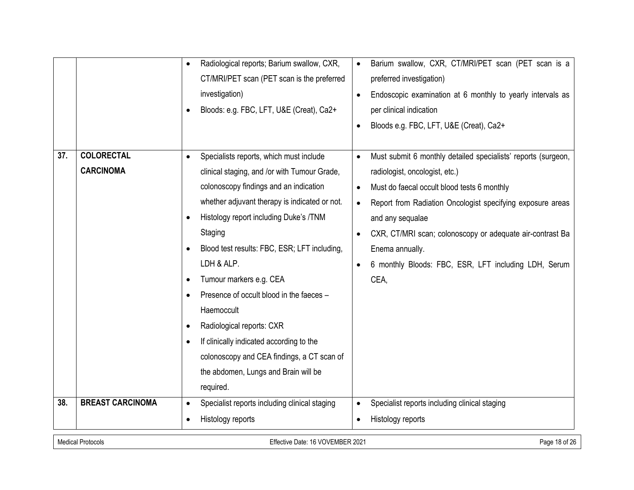|     |                                       | Radiological reports; Barium swallow, CXR,<br>$\bullet$<br>CT/MRI/PET scan (PET scan is the preferred<br>investigation)<br>Bloods: e.g. FBC, LFT, U&E (Creat), Ca2+<br>$\bullet$                                                                                                                                                                                                                                                                                                                                                                                                                                                                     | Barium swallow, CXR, CT/MRI/PET scan (PET scan is a<br>preferred investigation)<br>Endoscopic examination at 6 monthly to yearly intervals as<br>per clinical indication<br>Bloods e.g. FBC, LFT, U&E (Creat), Ca2+                                                                                                                                                                           |
|-----|---------------------------------------|------------------------------------------------------------------------------------------------------------------------------------------------------------------------------------------------------------------------------------------------------------------------------------------------------------------------------------------------------------------------------------------------------------------------------------------------------------------------------------------------------------------------------------------------------------------------------------------------------------------------------------------------------|-----------------------------------------------------------------------------------------------------------------------------------------------------------------------------------------------------------------------------------------------------------------------------------------------------------------------------------------------------------------------------------------------|
| 37. | <b>COLORECTAL</b><br><b>CARCINOMA</b> | Specialists reports, which must include<br>$\bullet$<br>clinical staging, and /or with Tumour Grade,<br>colonoscopy findings and an indication<br>whether adjuvant therapy is indicated or not.<br>Histology report including Duke's /TNM<br>$\bullet$<br>Staging<br>Blood test results: FBC, ESR; LFT including,<br>$\bullet$<br>LDH & ALP.<br>Tumour markers e.g. CEA<br>$\bullet$<br>Presence of occult blood in the faeces -<br>Haemoccult<br>Radiological reports: CXR<br>$\bullet$<br>If clinically indicated according to the<br>$\bullet$<br>colonoscopy and CEA findings, a CT scan of<br>the abdomen, Lungs and Brain will be<br>required. | Must submit 6 monthly detailed specialists' reports (surgeon,<br>$\bullet$<br>radiologist, oncologist, etc.)<br>Must do faecal occult blood tests 6 monthly<br>Report from Radiation Oncologist specifying exposure areas<br>and any sequalae<br>CXR, CT/MRI scan; colonoscopy or adequate air-contrast Ba<br>Enema annually.<br>6 monthly Bloods: FBC, ESR, LFT including LDH, Serum<br>CEA, |
| 38. | <b>BREAST CARCINOMA</b>               | Specialist reports including clinical staging                                                                                                                                                                                                                                                                                                                                                                                                                                                                                                                                                                                                        | Specialist reports including clinical staging                                                                                                                                                                                                                                                                                                                                                 |
|     |                                       | Histology reports<br>$\bullet$                                                                                                                                                                                                                                                                                                                                                                                                                                                                                                                                                                                                                       | Histology reports                                                                                                                                                                                                                                                                                                                                                                             |

Medical Protocols **Effective Date: 16 VOVEMBER 2021** Page 18 of 26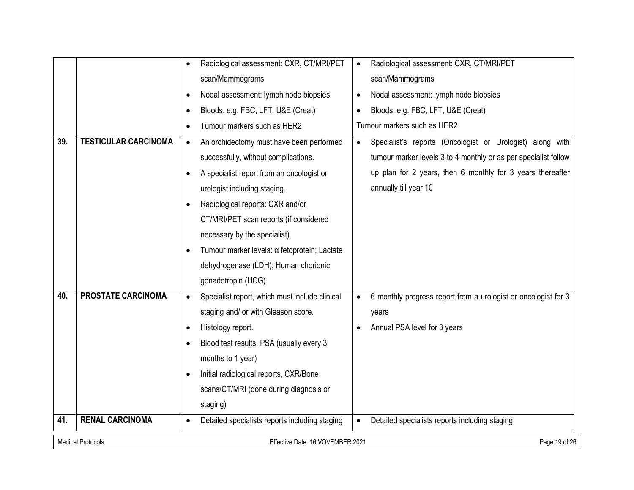|     |                                                                               | Radiological assessment: CXR, CT/MRI/PET                    | Radiological assessment: CXR, CT/MRI/PET                                    |  |
|-----|-------------------------------------------------------------------------------|-------------------------------------------------------------|-----------------------------------------------------------------------------|--|
|     |                                                                               | scan/Mammograms                                             | scan/Mammograms                                                             |  |
|     |                                                                               | Nodal assessment: lymph node biopsies                       | Nodal assessment: lymph node biopsies<br>$\bullet$                          |  |
|     |                                                                               | Bloods, e.g. FBC, LFT, U&E (Creat)<br>$\bullet$             | Bloods, e.g. FBC, LFT, U&E (Creat)<br>$\bullet$                             |  |
|     |                                                                               | Tumour markers such as HER2<br>$\bullet$                    | Tumour markers such as HER2                                                 |  |
| 39. | <b>TESTICULAR CARCINOMA</b>                                                   | An orchidectomy must have been performed<br>$\bullet$       | Specialist's reports (Oncologist or Urologist) along with<br>$\bullet$      |  |
|     |                                                                               | successfully, without complications.                        | tumour marker levels 3 to 4 monthly or as per specialist follow             |  |
|     |                                                                               | A specialist report from an oncologist or<br>$\bullet$      | up plan for 2 years, then 6 monthly for 3 years thereafter                  |  |
|     |                                                                               | urologist including staging.                                | annually till year 10                                                       |  |
|     |                                                                               | Radiological reports: CXR and/or<br>$\bullet$               |                                                                             |  |
|     |                                                                               | CT/MRI/PET scan reports (if considered                      |                                                                             |  |
|     |                                                                               | necessary by the specialist).                               |                                                                             |  |
|     |                                                                               | Tumour marker levels: a fetoprotein; Lactate                |                                                                             |  |
|     |                                                                               | dehydrogenase (LDH); Human chorionic                        |                                                                             |  |
|     |                                                                               | gonadotropin (HCG)                                          |                                                                             |  |
| 40. | PROSTATE CARCINOMA                                                            | Specialist report, which must include clinical<br>$\bullet$ | 6 monthly progress report from a urologist or oncologist for 3<br>$\bullet$ |  |
|     |                                                                               | staging and/ or with Gleason score.                         | years                                                                       |  |
|     |                                                                               | Histology report.                                           | Annual PSA level for 3 years                                                |  |
|     |                                                                               | Blood test results: PSA (usually every 3                    |                                                                             |  |
|     |                                                                               | months to 1 year)                                           |                                                                             |  |
|     |                                                                               | Initial radiological reports, CXR/Bone                      |                                                                             |  |
|     |                                                                               | scans/CT/MRI (done during diagnosis or                      |                                                                             |  |
|     |                                                                               | staging)                                                    |                                                                             |  |
| 41. | <b>RENAL CARCINOMA</b>                                                        | Detailed specialists reports including staging              | Detailed specialists reports including staging<br>$\bullet$                 |  |
|     | <b>Medical Protocols</b><br>Page 19 of 26<br>Effective Date: 16 VOVEMBER 2021 |                                                             |                                                                             |  |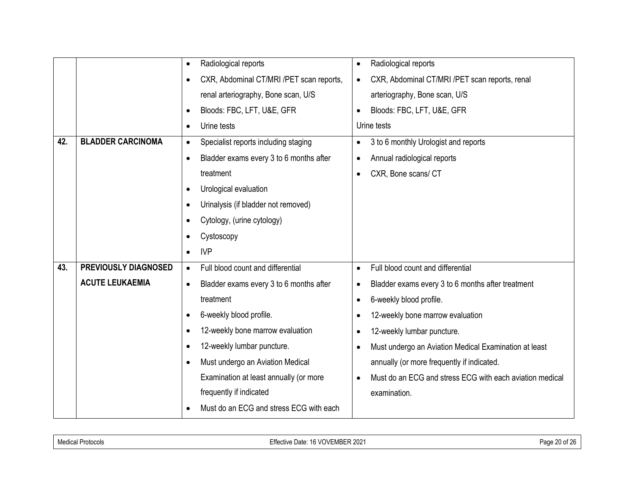|     |                             | Radiological reports<br>٠                             | Radiological reports<br>$\bullet$                                     |
|-----|-----------------------------|-------------------------------------------------------|-----------------------------------------------------------------------|
|     |                             | CXR, Abdominal CT/MRI /PET scan reports,<br>$\bullet$ | CXR, Abdominal CT/MRI /PET scan reports, renal                        |
|     |                             | renal arteriography, Bone scan, U/S                   | arteriography, Bone scan, U/S                                         |
|     |                             | Bloods: FBC, LFT, U&E, GFR<br>$\bullet$               | Bloods: FBC, LFT, U&E, GFR                                            |
|     |                             | Urine tests<br>$\bullet$                              | Urine tests                                                           |
| 42. | <b>BLADDER CARCINOMA</b>    | Specialist reports including staging<br>$\bullet$     | 3 to 6 monthly Urologist and reports                                  |
|     |                             | Bladder exams every 3 to 6 months after<br>$\bullet$  | Annual radiological reports                                           |
|     |                             | treatment                                             | CXR, Bone scans/ CT<br>$\bullet$                                      |
|     |                             | Urological evaluation<br>$\bullet$                    |                                                                       |
|     |                             | Urinalysis (if bladder not removed)                   |                                                                       |
|     |                             | Cytology, (urine cytology)                            |                                                                       |
|     |                             | Cystoscopy                                            |                                                                       |
|     |                             | <b>IVP</b>                                            |                                                                       |
| 43. | <b>PREVIOUSLY DIAGNOSED</b> | Full blood count and differential<br>$\bullet$        | Full blood count and differential<br>$\bullet$                        |
|     | <b>ACUTE LEUKAEMIA</b>      | Bladder exams every 3 to 6 months after<br>$\bullet$  | Bladder exams every 3 to 6 months after treatment                     |
|     |                             | treatment                                             | 6-weekly blood profile.<br>$\bullet$                                  |
|     |                             | 6-weekly blood profile.                               | 12-weekly bone marrow evaluation                                      |
|     |                             | 12-weekly bone marrow evaluation<br>$\bullet$         | 12-weekly lumbar puncture.                                            |
|     |                             | 12-weekly lumbar puncture.<br>$\bullet$               | Must undergo an Aviation Medical Examination at least                 |
|     |                             | Must undergo an Aviation Medical<br>$\bullet$         | annually (or more frequently if indicated.                            |
|     |                             | Examination at least annually (or more                | Must do an ECG and stress ECG with each aviation medical<br>$\bullet$ |
|     |                             | frequently if indicated                               | examination.                                                          |
|     |                             | Must do an ECG and stress ECG with each               |                                                                       |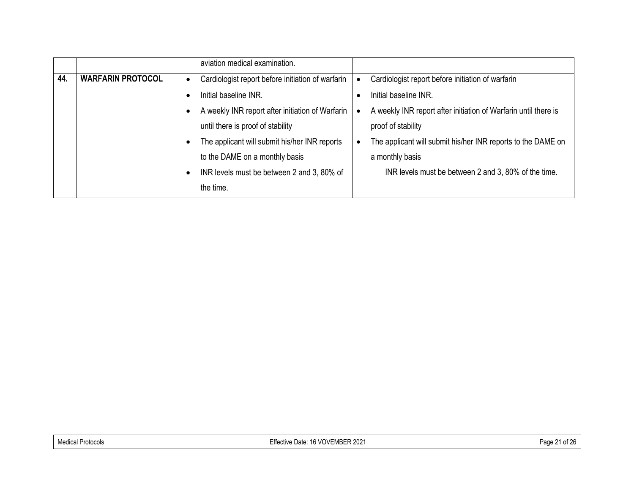|     |                          | aviation medical examination.                     |                                                                 |
|-----|--------------------------|---------------------------------------------------|-----------------------------------------------------------------|
| 44. | <b>WARFARIN PROTOCOL</b> | Cardiologist report before initiation of warfarin | Cardiologist report before initiation of warfarin               |
|     |                          | Initial baseline INR.                             | Initial baseline INR.                                           |
|     |                          | A weekly INR report after initiation of Warfarin  | A weekly INR report after initiation of Warfarin until there is |
|     |                          | until there is proof of stability                 | proof of stability                                              |
|     |                          | The applicant will submit his/her INR reports     | The applicant will submit his/her INR reports to the DAME on    |
|     |                          | to the DAME on a monthly basis                    | a monthly basis                                                 |
|     |                          | INR levels must be between 2 and 3, 80% of        | INR levels must be between 2 and 3, 80% of the time.            |
|     |                          | the time.                                         |                                                                 |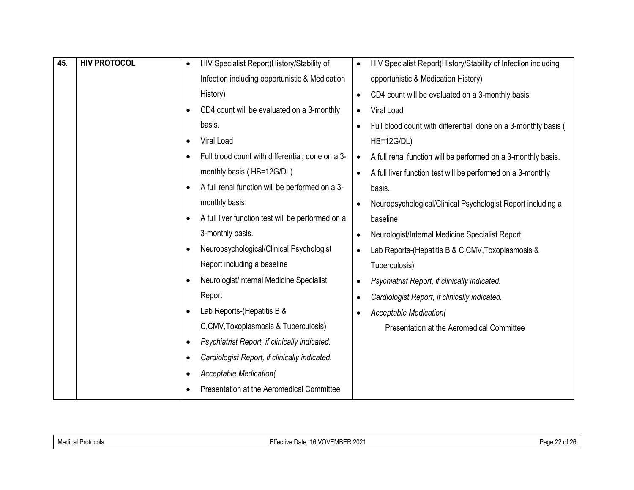| 45. | <b>HIV PROTOCOL</b> | HIV Specialist Report(History/Stability of<br>$\bullet$      | HIV Specialist Report(History/Stability of Infection including<br>$\bullet$  |
|-----|---------------------|--------------------------------------------------------------|------------------------------------------------------------------------------|
|     |                     | Infection including opportunistic & Medication               | opportunistic & Medication History)                                          |
|     |                     | History)                                                     | CD4 count will be evaluated on a 3-monthly basis.<br>$\bullet$               |
|     |                     | CD4 count will be evaluated on a 3-monthly                   | Viral Load<br>$\bullet$                                                      |
|     |                     | basis.                                                       | Full blood count with differential, done on a 3-monthly basis (<br>$\bullet$ |
|     |                     | Viral Load<br>$\bullet$                                      | <b>HB=12G/DL)</b>                                                            |
|     |                     | Full blood count with differential, done on a 3-             | A full renal function will be performed on a 3-monthly basis.<br>$\bullet$   |
|     |                     | monthly basis (HB=12G/DL)                                    | A full liver function test will be performed on a 3-monthly<br>$\bullet$     |
|     |                     | A full renal function will be performed on a 3-<br>$\bullet$ | basis.                                                                       |
|     |                     | monthly basis.                                               | Neuropsychological/Clinical Psychologist Report including a<br>$\bullet$     |
|     |                     | A full liver function test will be performed on a            | baseline                                                                     |
|     |                     | 3-monthly basis.                                             | Neurologist/Internal Medicine Specialist Report<br>$\bullet$                 |
|     |                     | Neuropsychological/Clinical Psychologist<br>$\bullet$        | Lab Reports-(Hepatitis B & C,CMV, Toxoplasmosis &<br>$\bullet$               |
|     |                     | Report including a baseline                                  | Tuberculosis)                                                                |
|     |                     | Neurologist/Internal Medicine Specialist                     | Psychiatrist Report, if clinically indicated.<br>$\bullet$                   |
|     |                     | Report                                                       | Cardiologist Report, if clinically indicated.<br>$\bullet$                   |
|     |                     | Lab Reports-(Hepatitis B &                                   | <b>Acceptable Medication(</b>                                                |
|     |                     | C, CMV, Toxoplasmosis & Tuberculosis)                        | Presentation at the Aeromedical Committee                                    |
|     |                     | Psychiatrist Report, if clinically indicated.                |                                                                              |
|     |                     | Cardiologist Report, if clinically indicated.                |                                                                              |
|     |                     | <b>Acceptable Medication(</b>                                |                                                                              |
|     |                     | Presentation at the Aeromedical Committee                    |                                                                              |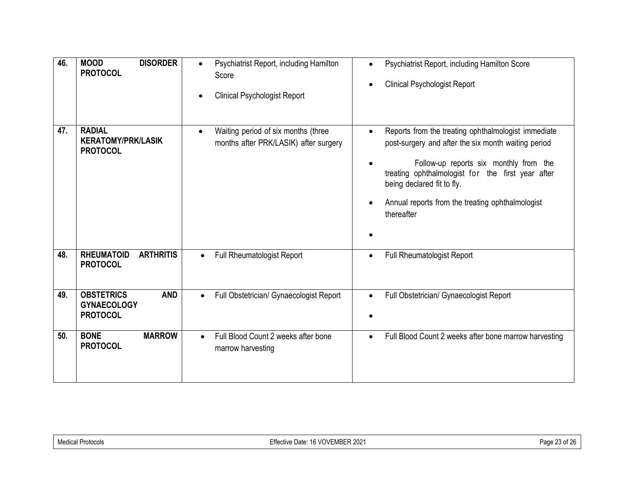| 46. | <b>MOOD</b><br><b>DISORDER</b><br><b>PROTOCOL</b>                        | Psychiatrist Report, including Hamilton<br>$\bullet$<br>Score<br><b>Clinical Psychologist Report</b> | Psychiatrist Report, including Hamilton Score<br>$\bullet$<br><b>Clinical Psychologist Report</b><br>$\bullet$                                                                                                                                                                                                         |
|-----|--------------------------------------------------------------------------|------------------------------------------------------------------------------------------------------|------------------------------------------------------------------------------------------------------------------------------------------------------------------------------------------------------------------------------------------------------------------------------------------------------------------------|
| 47. | <b>RADIAL</b><br><b>KERATOMY/PRK/LASIK</b><br><b>PROTOCOL</b>            | Waiting period of six months (three<br>months after PRK/LASIK) after surgery                         | Reports from the treating ophthalmologist immediate<br>post-surgery and after the six month waiting period<br>Follow-up reports six monthly from the<br>treating ophthalmologist for the first year after<br>being declared fit to fly.<br>Annual reports from the treating ophthalmologist<br>$\bullet$<br>thereafter |
| 48. | <b>RHEUMATOID</b><br><b>ARTHRITIS</b><br><b>PROTOCOL</b>                 | <b>Full Rheumatologist Report</b><br>$\bullet$                                                       | Full Rheumatologist Report<br>$\bullet$                                                                                                                                                                                                                                                                                |
| 49. | <b>OBSTETRICS</b><br><b>AND</b><br><b>GYNAECOLOGY</b><br><b>PROTOCOL</b> | Full Obstetrician/ Gynaecologist Report<br>$\bullet$                                                 | Full Obstetrician/ Gynaecologist Report<br>$\bullet$                                                                                                                                                                                                                                                                   |
| 50. | <b>BONE</b><br><b>MARROW</b><br><b>PROTOCOL</b>                          | Full Blood Count 2 weeks after bone<br>$\bullet$<br>marrow harvesting                                | Full Blood Count 2 weeks after bone marrow harvesting<br>$\bullet$                                                                                                                                                                                                                                                     |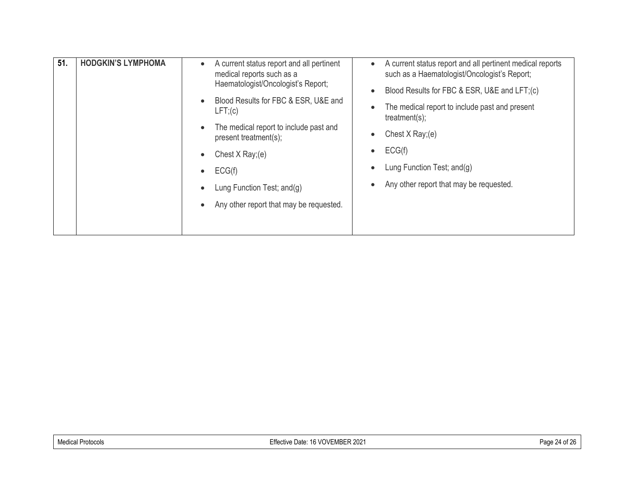| 51.<br><b>HODGKIN'S LYMPHOMA</b><br>A current status report and all pertinent<br>$\bullet$<br>medical reports such as a<br>Haematologist/Oncologist's Report;<br>Blood Results for FBC & ESR, U&E and<br>$\bullet$<br>$LFT$ ;(c)<br>The medical report to include past and<br>$\bullet$<br>present treatment(s);<br>Chest $X$ Ray; (e)<br>$\bullet$<br>ECG(f)<br>$\bullet$<br>Lung Function Test; and(g)<br>$\bullet$<br>Any other report that may be requested.<br>$\bullet$ | A current status report and all pertinent medical reports<br>$\bullet$<br>such as a Haematologist/Oncologist's Report;<br>Blood Results for FBC & ESR, U&E and LFT;(c)<br>$\bullet$<br>The medical report to include past and present<br>$\bullet$<br>treatment(s);<br>Chest $X$ Ray;(e)<br>$\bullet$<br>ECG(f)<br>$\bullet$<br>Lung Function Test; and(g)<br>$\bullet$<br>Any other report that may be requested.<br>$\bullet$ |
|-------------------------------------------------------------------------------------------------------------------------------------------------------------------------------------------------------------------------------------------------------------------------------------------------------------------------------------------------------------------------------------------------------------------------------------------------------------------------------|---------------------------------------------------------------------------------------------------------------------------------------------------------------------------------------------------------------------------------------------------------------------------------------------------------------------------------------------------------------------------------------------------------------------------------|
|-------------------------------------------------------------------------------------------------------------------------------------------------------------------------------------------------------------------------------------------------------------------------------------------------------------------------------------------------------------------------------------------------------------------------------------------------------------------------------|---------------------------------------------------------------------------------------------------------------------------------------------------------------------------------------------------------------------------------------------------------------------------------------------------------------------------------------------------------------------------------------------------------------------------------|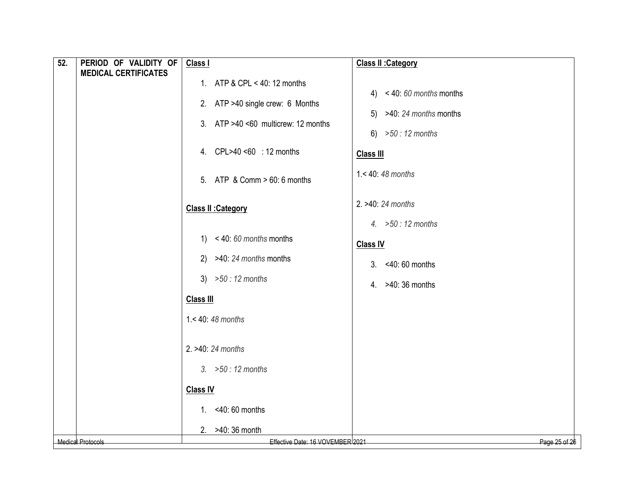| 52. | PERIOD OF VALIDITY OF<br><b>MEDICAL CERTIFICATES</b> | Class I                             | Class II : Category        |
|-----|------------------------------------------------------|-------------------------------------|----------------------------|
|     |                                                      | 1. ATP & CPL < 40: 12 months        | 4) $< 40:60$ months months |
|     |                                                      | 2. ATP >40 single crew: 6 Months    | 5) $>40: 24$ months months |
|     |                                                      | 3. ATP >40 <60 multicrew: 12 months | 6) $>50 : 12$ months       |
|     |                                                      | 4. CPL>40 <60 : 12 months           | <b>Class III</b>           |
|     |                                                      | 5. ATP & Comm > 60: 6 months        | $1.40:48$ months           |
|     |                                                      | <b>Class II : Category</b>          | 2. >40: 24 months          |
|     |                                                      |                                     | 4. $>50:12$ months         |
|     |                                                      | 1) $< 40:60$ months months          | <b>Class IV</b>            |
|     |                                                      | 2) $>40: 24$ months months          | 3. <40:60 months           |
|     |                                                      | 3) $>50 : 12$ months                | 4. >40:36 months           |
|     |                                                      | <b>Class III</b>                    |                            |
|     |                                                      | $1.40:48$ months                    |                            |
|     |                                                      | 2. >40: 24 months                   |                            |
|     |                                                      | 3. $>50:12$ months                  |                            |
|     |                                                      | <b>Class IV</b>                     |                            |
|     |                                                      | 1. < 40: 60 months                  |                            |
|     |                                                      | 2. >40: 36 month                    |                            |
|     | <b>Medical Protocols</b>                             | Effective Date: 16 VOVEMBER 2021    | Page 25 of 26              |